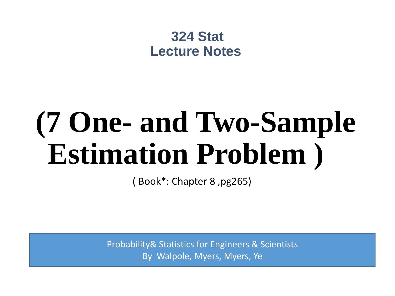### **324 Stat Lecture Notes**

# **(7 One- and Two-Sample Estimation Problem )**

( Book\*: Chapter 8 ,pg265)

Probability& Statistics for Engineers & Scientists By Walpole, Myers, Myers, Ye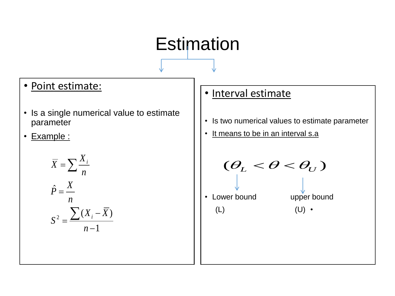## Estimation

### • Point estimate:

- Is a single numerical value to estimate parameter
- Example :

$$
\overline{X} = \sum \frac{X_i}{n}
$$

$$
\hat{P} = \frac{X}{n}
$$

$$
S^2 = \frac{\sum (X_i - \overline{X})}{n - 1}
$$

- Interval estimate
- Is two numerical values to estimate parameter
- It means to be in an interval s.a

 $(\theta_L < \theta < \theta_U)$ 

• Lower bound upper bound

 $(L)$  (U) •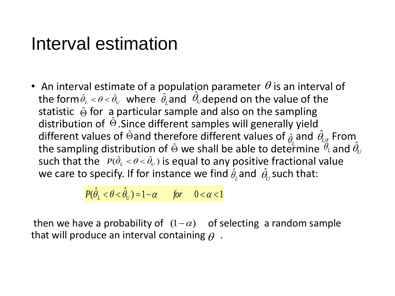### Interval estimation

• An interval estimate of a population parameter  $\theta$  is an interval of the form  $\hat{\theta}_{\scriptscriptstyle L} < \theta < \hat{\theta}_{\scriptscriptstyle U}$  where  $\hat{\theta}_{\scriptscriptstyle L}$  and  $\hat{\theta}_{\scriptscriptstyle U}$ depend on the value of the statistic  $\hat{\Theta}$  for a particular sample and also on the sampling distribution of  $\hat{\Theta}$ . Since different samples will generally yield different values of  $\hat{\Theta}$ and therefore different values of  $\hat{\theta}$  and  $\hat{\theta}_{\scriptscriptstyle{U^{\star}}}$  From  $\hat{\theta}_{\scriptscriptstyle{U^{\star}}}$ the sampling distribution of  $\hat{\Theta}$  we shall be able to determine  $\,\theta_{\scriptscriptstyle\! L}$  and such that the  $P(\hat{\theta}_L < \theta < \hat{\theta}_U)$  is equal to any positive fractional value we care to specify. If for instance we find  $\hat{\theta}_{\scriptscriptstyle L}$  and  $\hat{\theta}_{\scriptscriptstyle U}$  such that:  $\hat{\theta}_{\iota}$  and  $\hat{\theta}_{\iota}$  $\hat{\Theta}$ and therefore different values of  $\hat{\rho}$  $\hat{\theta}_{\scriptscriptstyle L}$  and  $\hat{\theta}_{\scriptscriptstyle U}$  $\hat{\Theta}$  we shall be able to determine  $\overset{\omega_L}{\theta}$  $\overset{\,\,\circ}{\theta_{\scriptscriptstyle L}}$  and  $\hat{\theta_{\scriptscriptstyle U}}$  $\hat{\theta}_{\scriptscriptstyle L}$ and  $\hat{\theta}_{\scriptscriptstyle U}$ 

$$
P(\hat{\theta}_L < \theta < \hat{\theta}_U) = 1 - \alpha \qquad \text{for} \qquad 0 < \alpha < 1
$$

then we have a probability of  $(1-\alpha)$  of selecting a random sample that will produce an interval containing  $\theta$  .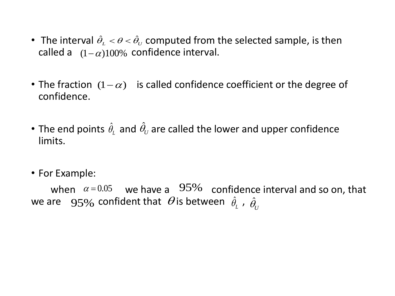- The interval  $\hat{\theta}_{L} < \theta < \hat{\theta}_{U}$  computed from the selected sample, is then called a  $(1-\alpha)100\%$  confidence interval.
- The fraction  $(1 \alpha)$  is called confidence coefficient or the degree of confidence.
- The end points  $\hat{\theta}_{\scriptscriptstyle\! L}$  and  $\hat{\theta}_{\scriptscriptstyle\! U}$  are called the lower and upper confidence limits.  $\hat{\theta_{\scriptscriptstyle L}}$  and  $\hat{\theta_{\scriptscriptstyle U}}$
- For Example:

when  $\alpha = 0.05$  we have a  $95\%$  confidence interval and so on, that we are  $-$  95% confident that  $\,\theta$  is between  $\,\hat{\theta}_{{\scriptscriptstyle L}}^{}$  ,  $\,\hat{\theta}_{{\scriptscriptstyle U}}^{}$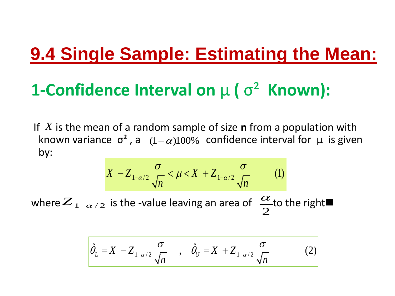## **9.4 Single Sample: Estimating the Mean:**

## **1-Confidence Interval on** µ **(** σ² **Known):**

If  $\overline{X}$  is the mean of a random sample of size **n** from a population with known variance  $\sigma^2$ , a  $(1-\alpha)100\%$  confidence interval for  $\mu$  is given by:  $\frac{\sigma}{\sqrt{1-\frac{y^2}{2}}}$ 

$$
\overline{X} - Z_{1-\alpha/2} \frac{\sigma}{\sqrt{n}} < \mu < \overline{X} + Z_{1-\alpha/2} \frac{\sigma}{\sqrt{n}} \tag{1}
$$

where  $Z_{1-\alpha/2}$  is the -value leaving an area of  $\alpha/2$  to the right  $\frac{1}{2}$  $\alpha$ 

$$
\hat{\theta}_L = \overline{X} - Z_{1-\alpha/2} \frac{\sigma}{\sqrt{n}} \quad , \quad \hat{\theta}_U = \overline{X} + Z_{1-\alpha/2} \frac{\sigma}{\sqrt{n}} \tag{2}
$$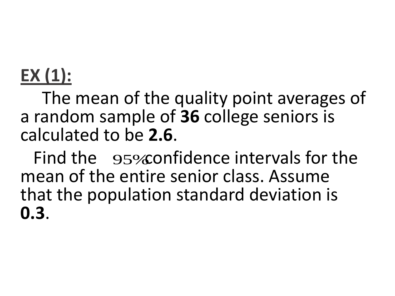## **EX (1):**

The mean of the quality point averages of a random sample of **36** college seniors is calculated to be **2.6**.

Find the 95% confidence intervals for the mean of the entire senior class. Assume that the population standard deviation is **0.3**.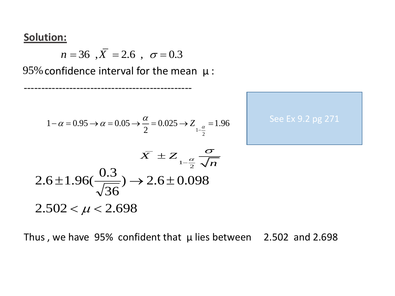### **Solution:**

*n* = 36 ,  $\overline{X}$  = 2.6 ,  $\sigma$  = 0.3

95% confidence interval for the mean  $\mu$  :

------------------------------------------------

$$
1 - \alpha = 0.95 \to \alpha = 0.05 \to \frac{\alpha}{2} = 0.025 \to Z_{1 - \frac{\alpha}{2}} = 1.96
$$



$$
\bar{X} \pm Z_{1-\frac{\alpha}{2}} \frac{\sigma}{\sqrt{n}}
$$
  
2.6 ± 1.96( $\frac{0.3}{\sqrt{36}}$ )  $\rightarrow$  2.6 ± 0.098  
2.502  $\lt \mu$  < 2.698

Thus, we have 95% confident that  $\mu$  lies between 2.502 and 2.698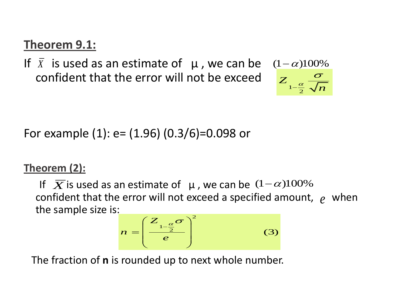### **Theorem 9.1:**

If  $\overline{X}$  is used as an estimate of  $\mu$ , we can be  $(1-\alpha)100\%$ confident that the error will not be exceed .

 $1-\frac{\alpha}{2}$ *Z*  $\frac{\alpha}{2}$   $\sqrt{n}$  $\sigma$  $\overline{\phantom{0}}$ 

For example (1): e= (1.96) (0.3/6)=0.098 or

### **Theorem (2):**

If  $\overline{X}$  is used as an estimate of  $\mu$ , we can be  $(1-\alpha)100\%$ confident that the error will not exceed a specified amount,  $e$  when the sample size is:

$$
n = \left(\frac{Z_{1-\frac{\alpha}{2}}\sigma}{e}\right)^2 \tag{3}
$$

The fraction of **n** is rounded up to next whole number.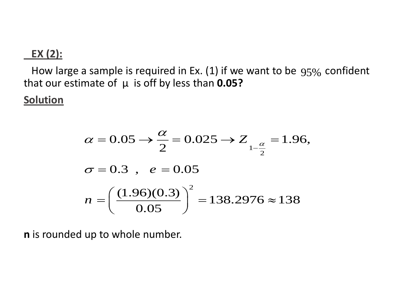### **EX (2):**

How large a sample is required in Ex. (1) if we want to be  $95%$  confident that our estimate of µ is off by less than **0.05?**

### **Solution**

$$
\alpha = 0.05 \rightarrow \frac{\alpha}{2} = 0.025 \rightarrow Z_{1-\frac{\alpha}{2}} = 1.96,
$$
  
\n
$$
\sigma = 0.3 \ , \ e = 0.05
$$
  
\n
$$
n = \left(\frac{(1.96)(0.3)}{0.05}\right)^2 = 138.2976 \approx 138
$$

**n** is rounded up to whole number.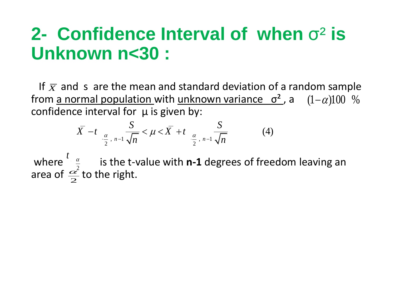## **2- Confidence Interval of when** σ² **is Unknown n<30 :**

If  $\overline{x}$  and s are the mean and standard deviation of a random sample from <u>a normal population with unknown variance  $\sigma^2$ </u>, a  $(1-\alpha)100$  % confidence interval for  $\mu$  is given by:

The interval for 
$$
\mu
$$
 is given by:  
\n
$$
\bar{X} - t_{\frac{\alpha}{2}, n-1} \frac{S}{\sqrt{n}} < \mu < \bar{X} + t_{\frac{\alpha}{2}, n-1} \frac{S}{\sqrt{n}}
$$
\n(4)

where  $\frac{a}{2}$  is the t-value with **n-1** degrees of freedom leaving an area of  $\frac{\alpha}{2}$  to the right. 2  $t$ <sup> $\alpha$ </sup>  $\frac{\alpha}{2}$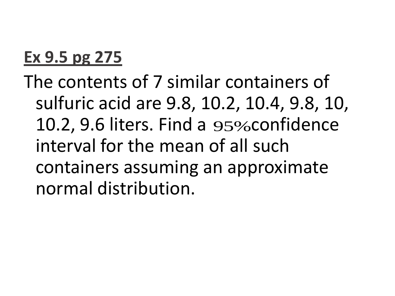### **Ex 9.5 pg 275**

The contents of 7 similar containers of sulfuric acid are 9.8, 10.2, 10.4, 9.8, 10, 10.2, 9.6 liters. Find a 95% confidence interval for the mean of all such containers assuming an approximate normal distribution.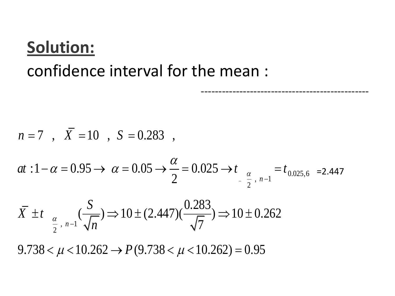## **Solution:** confidence interval for the mean :

$$
n=7
$$
,  $\overline{X} = 10$ ,  $S = 0.283$ ,

$$
n = 7, \quad \overline{X} = 10, \quad S = 0.283,
$$
  

$$
at: 1 - \alpha = 0.95 \rightarrow \alpha = 0.05 \rightarrow \frac{\alpha}{2} = 0.025 \rightarrow t_{\frac{\alpha}{2}, n-1} = t_{0.025, 6} = 2.447
$$

------------------------------------------------

$$
at: 1 - \alpha = 0.95 \rightarrow \alpha = 0.05 \rightarrow \frac{}{2} = 0.025 \rightarrow t_{\frac{\alpha}{2}, n-1} = t_{0.025, 6}
$$
\n
$$
\bar{X} \pm t_{\frac{\alpha}{2}, n-1} \left( \frac{S}{\sqrt{n}} \right) \Rightarrow 10 \pm (2.447) \left( \frac{0.283}{\sqrt{7}} \right) \Rightarrow 10 \pm 0.262
$$
\n
$$
9.738 < \mu < 10.262 \rightarrow P(9.738 < \mu < 10.262) = 0.95
$$

*P*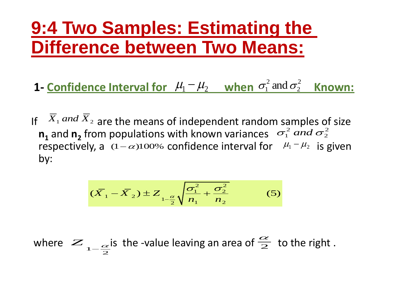## **9:4 Two Samples: Estimating the Difference between Two Means:**

- **1-** Confidence Interval for  $\mu_1 \mu_2$  when  $\sigma_1^2$  and  $\sigma_2^2$  Known: 2 2  $\sigma_1^2$  and  $\sigma_1$
- If  $\overline{X}_1$  and  $\overline{X}_2$  are the means of independent random samples of size  $n_1$  and  $n_2$  from populations with known variances  $\sigma_1^2$  and  $\sigma_2^2$ respectively, a  $(1-\alpha)100\%$  confidence interval for  $\mu_1 - \mu_2$  is given by: 2 2  $\sigma_1^2$  and  $\sigma$

$$
(\overline{X}_1 - \overline{X}_2) \pm Z_{1-\frac{\alpha}{2}} \sqrt{\frac{\sigma_1^2}{n_1} + \frac{\sigma_2^2}{n_2}}
$$
 (5)

where  $\sum_{1-\frac{\alpha}{2}}$  is the -value leaving an area of  $\frac{\alpha}{2}$  to the right.  $Z_{1-\frac{\alpha}{2}}$  is the -value leaving an area of  $\frac{\alpha}{2}$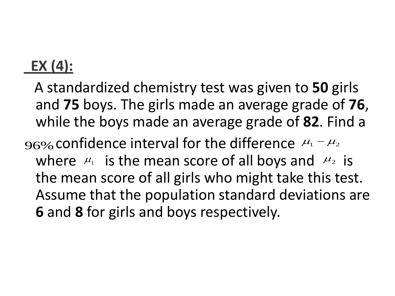### **EX (4):**

- A standardized chemistry test was given to **50** girls and **75** boys. The girls made an average grade of **76**, while the boys made an average grade of **82**. Find a
- 96% confidence interval for the difference  $\mu_1 \mu_2$ where  $\mu_1$  is the mean score of all boys and  $\mu_2$  is the mean score of all girls who might take this test. Assume that the population standard deviations are **6** and **8** for girls and boys respectively.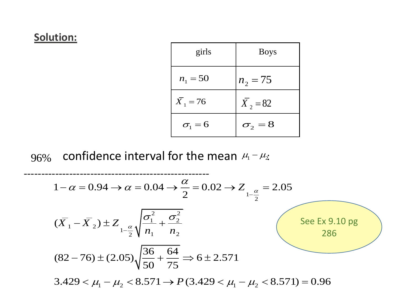### **Solution:**

| girls                 | <b>Boys</b>           |
|-----------------------|-----------------------|
| $n_1 = 50$            | $n_2 = 75$            |
| $\overline{X}_1 = 76$ | $\overline{X}_2 = 82$ |
| $\sigma_{1} = 6$      | $\sigma_{2} = 8$      |

96% confidence interval for the mean 
$$
\mu_1 - \mu_2
$$
  
\n  
\n1- $\alpha = 0.94 \rightarrow \alpha = 0.04 \rightarrow \frac{\alpha}{2} = 0.02 \rightarrow Z_{1-\frac{\alpha}{2}} = 2.05$   
\n( $\overline{X}_1 - \overline{X}_2$ )  $\pm Z_{1-\frac{\alpha}{2}} \sqrt{\frac{\sigma_1^2}{n_1} + \frac{\sigma_2^2}{n_2}}$   
\n(82-76)  $\pm (2.05) \sqrt{\frac{36}{50} + \frac{64}{75}} \Rightarrow 6 \pm 2.571$   
\n3.429  $\lt \mu_1 - \mu_2 < 8.571 \rightarrow P(3.429 < \mu_1 - \mu_2 < 8.571) = 0.96$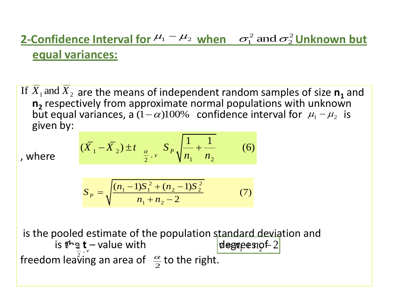#### **2-Confidence Interval for**  $\mu_1 - \mu_2$  **when**  $\sigma_1^2$  **and**  $\sigma_2^2$  **Unknown but equal variances:**  $\overline{2}$ 2  $\sigma_1^2$  and  $\sigma_1$

If  $\overline{X}_1$  and  $\overline{X}_2$  are the means of independent random samples of size  $\mathbf{n}_1$  and **n**<sub>2</sub> respectively from approximate normal populations with unknown but equal variances, a  $(1-\alpha)100%$  confidence interval for  $\mu_1 - \mu_2$  is given by:

, where

$$
(\overline{X}_1 - \overline{X}_2) \pm t
$$
  $\underset{\frac{\alpha}{2}, \nu}{\leq} S_P \sqrt{\frac{1}{n_1} + \frac{1}{n_2}}$  (6)

$$
S_P = \sqrt{\frac{(n_1 - 1)S_1^2 + (n_2 - 1)S_2^2}{n_1 + n_2 - 2}}
$$
(7)

is the pooled estimate of the population standard deviation and is the **t** – value with degrees of freedom leaving an area of  $\frac{\alpha}{2}$  to the right. the  $degree$  *n*<sub>2</sub>  $f$  2  $\frac{\alpha}{2}$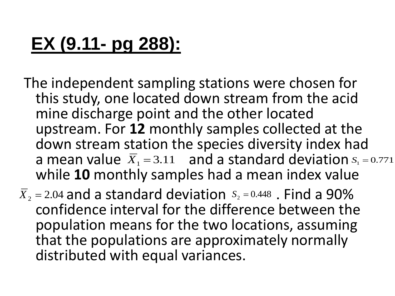## **EX (9.11- pg 288):**

- The independent sampling stations were chosen for this study, one located down stream from the acid mine discharge point and the other located upstream. For **12** monthly samples collected at the down stream station the species diversity index had a mean value  $\overline{X}_1 = 3.11$  and a standard deviation  $S_1 = 0.771$ while **10** monthly samples had a mean index value
- $\overline{X}_2$  = 2.04 and a standard deviation  $S_2$  = 0.448 . Find a 90% confidence interval for the difference between the population means for the two locations, assuming that the populations are approximately normally distributed with equal variances.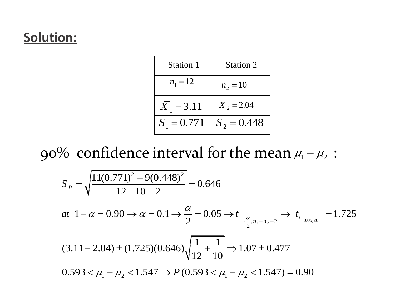### **Solution:**

| Station 1     | <b>Station 2</b> |
|---------------|------------------|
| $n_1 = 12$    | $n_2 = 10$       |
| $X_1 = 3.11$  | $X_2 = 2.04$     |
| $S_1 = 0.771$ | $S_2 = 0.448$    |

90% confidence interval for the mean  $\mu_{\text{\tiny{l}}}$  -  $\mu_{\text{\tiny{2}}}$  :

9% confidence interval for the mean 
$$
\mu_1 - \mu_2
$$
:

\n
$$
S_p = \sqrt{\frac{11(0.771)^2 + 9(0.448)^2}{12 + 10 - 2}} = 0.646
$$
\n
$$
at \ 1 - \alpha = 0.90 \rightarrow \alpha = 0.1 \rightarrow \frac{\alpha}{2} = 0.05 \rightarrow t_{\frac{\alpha}{2}, n_1 + n_2 - 2}} \rightarrow t_{\frac{0.05, 20}{2}} = 1.725
$$
\n
$$
(3.11 - 2.04) \pm (1.725)(0.646) \sqrt{\frac{1}{12} + \frac{1}{10}} \Rightarrow 1.07 \pm 0.477
$$
\n
$$
0.593 < \mu_1 - \mu_2 < 1.547 \rightarrow P(0.593 < \mu_1 - \mu_2 < 1.547) = 0.90
$$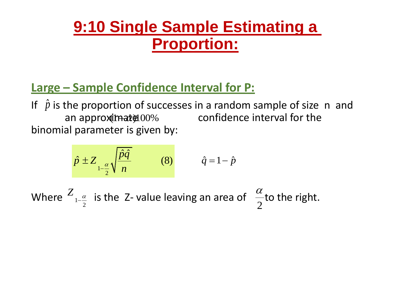### **9:10 Single Sample Estimating a Proportion:**

### **Large – Sample Confidence Interval for P:**

If  $\hat{p}$  is the proportion of successes in a random sample of size n and an approximate 00% confidence interval for the binomial parameter is given by:

$$
\hat{p} \pm Z_{1-\frac{\alpha}{2}} \sqrt{\frac{\hat{p}\hat{q}}{n}}
$$
 (8)  $\hat{q} = 1-\hat{p}$ 

Where  $\frac{Z_{1-\frac{\alpha}{2}}}$  is the Z- value leaving an area of  $\frac{\alpha}{2}$ to the right. 2  $Z_{\frac{a}{a}}$  $-\frac{a}{2}$  is the 2-value leaving an area or  $\frac{a}{2}$  $\alpha$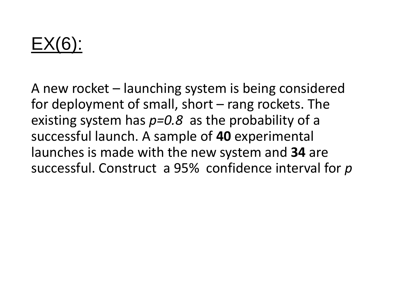## EX(6):

A new rocket – launching system is being considered for deployment of small, short – rang rockets. The existing system has *p=0.8* as the probability of a successful launch. A sample of **40** experimental launches is made with the new system and **34** are successful. Construct a 95% confidence interval for *p*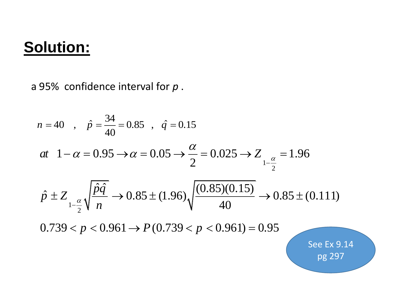### **Solution:**

a 95% confidence interval for *p* .

$$
n = 40 \quad , \quad \hat{p} = \frac{34}{40} = 0.85 \quad , \quad \hat{q} = 0.15
$$
\n
$$
at \quad 1 - \alpha = 0.95 \rightarrow \alpha = 0.05 \rightarrow \frac{\alpha}{2} = 0.025 \rightarrow Z_{1-\frac{\alpha}{2}} = 1.96
$$
\n
$$
\hat{p} \pm Z_{1-\frac{\alpha}{2}} \sqrt{\frac{\hat{p}\hat{q}}{n}} \rightarrow 0.85 \pm (1.96) \sqrt{\frac{(0.85)(0.15)}{40}} \rightarrow 0.85 \pm (0.111)
$$
\n
$$
0.739 < p < 0.961 \rightarrow P(0.739 < p < 0.961) = 0.95
$$

See Ex 9.14 pg 297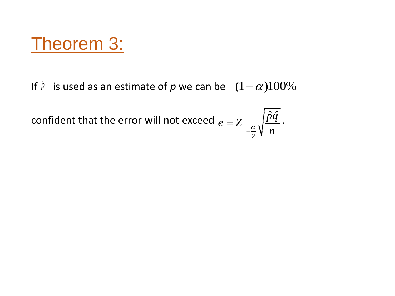## Theorem 3:

If  $\hat{p}$  is used as an estimate of p we can be  $(1-\alpha)100\%$ 

confident that the error will not exceed  $e = Z \sqrt{pq}$ . 1 2  $\hat{p}\hat{q}^{\,\prime}$ *e Z*  $-\frac{\alpha}{2}$  $\sqrt{n}$  $=$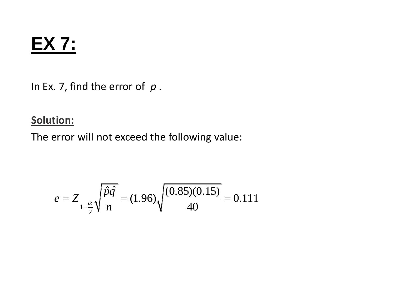## **EX 7:**

In Ex. 7, find the error of *p* .

### **Solution:**

The error will not exceed the following value:

$$
e = Z_{1-\frac{\alpha}{2}} \sqrt{\frac{\hat{p}\hat{q}}{n}} = (1.96) \sqrt{\frac{(0.85)(0.15)}{40}} = 0.111
$$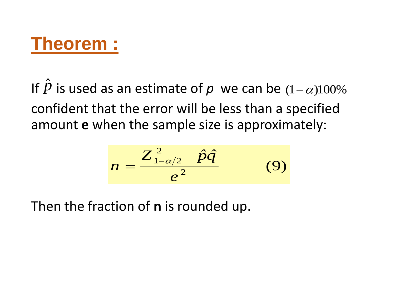## **Theorem :**

If  $\hat{p}$  is used as an estimate of  $p$  we can be  $(1-\alpha)100\%$ confident that the error will be less than a specified amount **e** when the sample size is approximately:

$$
n=\frac{Z_{1-\alpha/2}^2 \quad \hat{p}\hat{q}}{e^2} \qquad (9)
$$

Then the fraction of **n** is rounded up.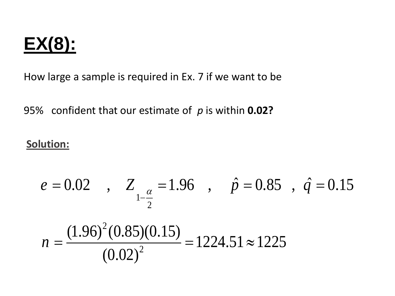## **EX(8):**

How large a sample is required in Ex. 7 if we want to be

95% confident that our estimate of *p* is within **0.02?**

### **Solution:**

$$
e = 0.02
$$
,  $Z_{1-\frac{\alpha}{2}} = 1.96$ ,  $\hat{p} = 0.85$ ,  $\hat{q} = 0.15$ 

$$
n = \frac{(1.96)^2 (0.85)(0.15)}{(0.02)^2} = 1224.51 \approx 1225
$$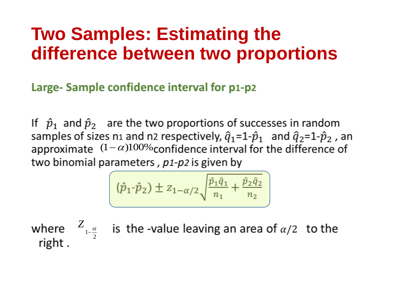## **Two Samples: Estimating the difference between two proportions**

Large- Sample confidence interval for p1-p2

If  $\hat{p}_1$  and  $\hat{p}_2$  are the two proportions of successes in random samples of sizes n1 and n2 respectively,  $\hat{q}_1 = 1 - \hat{p}_1$  and  $\hat{q}_2 = 1 - \hat{p}_2$ , an approximate  $(1 - \alpha)100\%$  confidence interval for the difference of two binomial parameters, p1-p2 is given by

$$
(\hat{p}_1 \cdot \hat{p}_2) \pm z_{1-\alpha/2} \sqrt{\frac{\hat{p}_1 \hat{q}_1}{n_1} + \frac{\hat{p}_2 \hat{q}_2}{n_2}}
$$

1 2  $Z_{\alpha}$ <sup> $\alpha$ </sup>  $\overline{\phantom{a}}$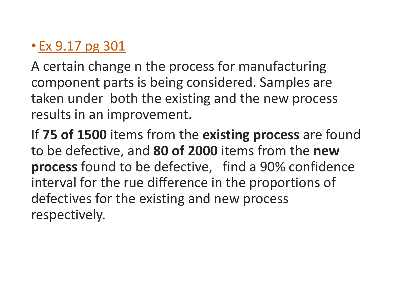### • Ex 9.17 pg 301

A certain change n the process for manufacturing component parts is being considered. Samples are taken under both the existing and the new process results in an improvement.

If **75 of 1500** items from the **existing process** are found to be defective, and **80 of 2000** items from the **new process** found to be defective, find a 90% confidence interval for the rue difference in the proportions of defectives for the existing and new process respectively.